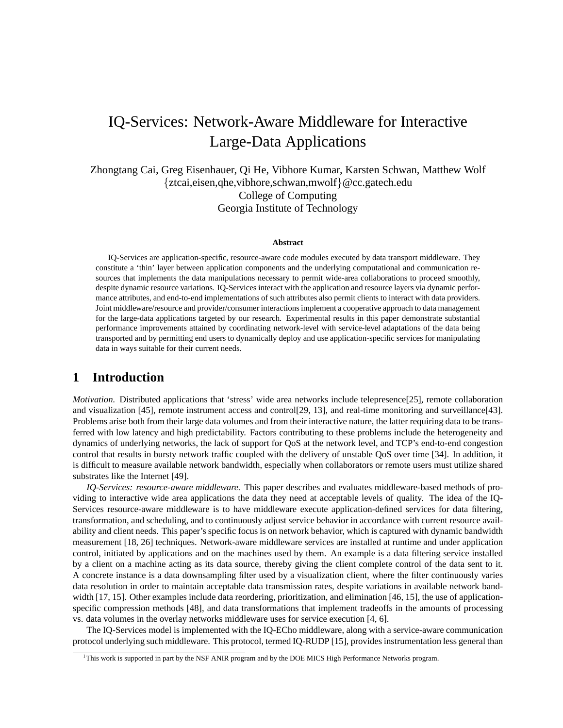# IQ-Services: Network-Aware Middleware for Interactive Large-Data Applications

Zhongtang Cai, Greg Eisenhauer, Qi He, Vibhore Kumar, Karsten Schwan, Matthew Wolf {ztcai,eisen,qhe,vibhore,schwan,mwolf}@cc.gatech.edu College of Computing Georgia Institute of Technology

#### **Abstract**

IQ-Services are application-specific, resource-aware code modules executed by data transport middleware. They constitute a 'thin' layer between application components and the underlying computational and communication resources that implements the data manipulations necessary to permit wide-area collaborations to proceed smoothly, despite dynamic resource variations. IQ-Services interact with the application and resource layers via dynamic performance attributes, and end-to-end implementations of such attributes also permit clients to interact with data providers. Joint middleware/resource and provider/consumer interactions implement a cooperative approach to data management for the large-data applications targeted by our research. Experimental results in this paper demonstrate substantial performance improvements attained by coordinating network-level with service-level adaptations of the data being transported and by permitting end users to dynamically deploy and use application-specific services for manipulating data in ways suitable for their current needs.

### **1 Introduction**

*Motivation.* Distributed applications that 'stress' wide area networks include telepresence[25], remote collaboration and visualization [45], remote instrument access and control[29, 13], and real-time monitoring and surveillance[43]. Problems arise both from their large data volumes and from their interactive nature, the latter requiring data to be transferred with low latency and high predictability. Factors contributing to these problems include the heterogeneity and dynamics of underlying networks, the lack of support for QoS at the network level, and TCP's end-to-end congestion control that results in bursty network traffic coupled with the delivery of unstable QoS over time [34]. In addition, it is difficult to measure available network bandwidth, especially when collaborators or remote users must utilize shared substrates like the Internet [49].

*IQ-Services: resource-aware middleware.* This paper describes and evaluates middleware-based methods of providing to interactive wide area applications the data they need at acceptable levels of quality. The idea of the IQ-Services resource-aware middleware is to have middleware execute application-defined services for data filtering, transformation, and scheduling, and to continuously adjust service behavior in accordance with current resource availability and client needs. This paper's specific focus is on network behavior, which is captured with dynamic bandwidth measurement [18, 26] techniques. Network-aware middleware services are installed at runtime and under application control, initiated by applications and on the machines used by them. An example is a data filtering service installed by a client on a machine acting as its data source, thereby giving the client complete control of the data sent to it. A concrete instance is a data downsampling filter used by a visualization client, where the filter continuously varies data resolution in order to maintain acceptable data transmission rates, despite variations in available network bandwidth [17, 15]. Other examples include data reordering, prioritization, and elimination [46, 15], the use of applicationspecific compression methods [48], and data transformations that implement tradeoffs in the amounts of processing vs. data volumes in the overlay networks middleware uses for service execution [4, 6].

The IQ-Services model is implemented with the IQ-ECho middleware, along with a service-aware communication protocol underlying such middleware. This protocol, termed IQ-RUDP [15], provides instrumentation less general than

<sup>&</sup>lt;sup>1</sup>This work is supported in part by the NSF ANIR program and by the DOE MICS High Performance Networks program.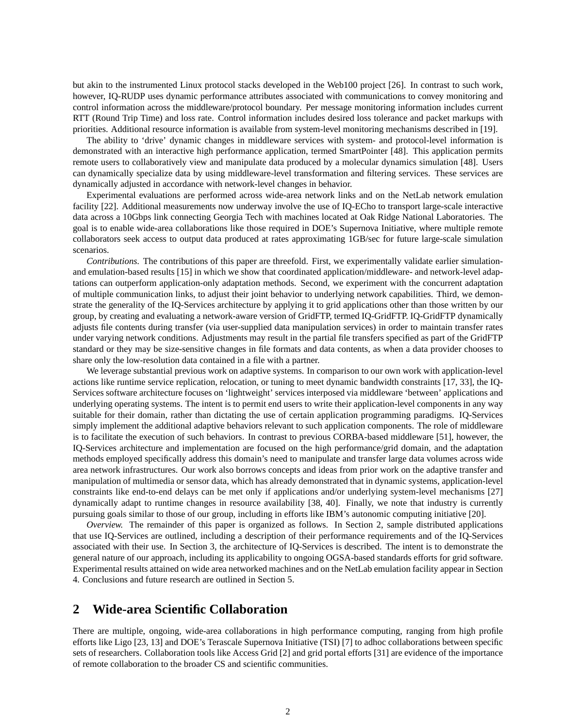but akin to the instrumented Linux protocol stacks developed in the Web100 project [26]. In contrast to such work, however, IQ-RUDP uses dynamic performance attributes associated with communications to convey monitoring and control information across the middleware/protocol boundary. Per message monitoring information includes current RTT (Round Trip Time) and loss rate. Control information includes desired loss tolerance and packet markups with priorities. Additional resource information is available from system-level monitoring mechanisms described in [19].

The ability to 'drive' dynamic changes in middleware services with system- and protocol-level information is demonstrated with an interactive high performance application, termed SmartPointer [48]. This application permits remote users to collaboratively view and manipulate data produced by a molecular dynamics simulation [48]. Users can dynamically specialize data by using middleware-level transformation and filtering services. These services are dynamically adjusted in accordance with network-level changes in behavior.

Experimental evaluations are performed across wide-area network links and on the NetLab network emulation facility [22]. Additional measurements now underway involve the use of IQ-ECho to transport large-scale interactive data across a 10Gbps link connecting Georgia Tech with machines located at Oak Ridge National Laboratories. The goal is to enable wide-area collaborations like those required in DOE's Supernova Initiative, where multiple remote collaborators seek access to output data produced at rates approximating 1GB/sec for future large-scale simulation scenarios.

*Contributions.* The contributions of this paper are threefold. First, we experimentally validate earlier simulationand emulation-based results [15] in which we show that coordinated application/middleware- and network-level adaptations can outperform application-only adaptation methods. Second, we experiment with the concurrent adaptation of multiple communication links, to adjust their joint behavior to underlying network capabilities. Third, we demonstrate the generality of the IQ-Services architecture by applying it to grid applications other than those written by our group, by creating and evaluating a network-aware version of GridFTP, termed IQ-GridFTP. IQ-GridFTP dynamically adjusts file contents during transfer (via user-supplied data manipulation services) in order to maintain transfer rates under varying network conditions. Adjustments may result in the partial file transfers specified as part of the GridFTP standard or they may be size-sensitive changes in file formats and data contents, as when a data provider chooses to share only the low-resolution data contained in a file with a partner.

We leverage substantial previous work on adaptive systems. In comparison to our own work with application-level actions like runtime service replication, relocation, or tuning to meet dynamic bandwidth constraints [17, 33], the IQ-Services software architecture focuses on 'lightweight' services interposed via middleware 'between' applications and underlying operating systems. The intent is to permit end users to write their application-level components in any way suitable for their domain, rather than dictating the use of certain application programming paradigms. IQ-Services simply implement the additional adaptive behaviors relevant to such application components. The role of middleware is to facilitate the execution of such behaviors. In contrast to previous CORBA-based middleware [51], however, the IQ-Services architecture and implementation are focused on the high performance/grid domain, and the adaptation methods employed specifically address this domain's need to manipulate and transfer large data volumes across wide area network infrastructures. Our work also borrows concepts and ideas from prior work on the adaptive transfer and manipulation of multimedia or sensor data, which has already demonstrated that in dynamic systems, application-level constraints like end-to-end delays can be met only if applications and/or underlying system-level mechanisms [27] dynamically adapt to runtime changes in resource availability [38, 40]. Finally, we note that industry is currently pursuing goals similar to those of our group, including in efforts like IBM's autonomic computing initiative [20].

*Overview.* The remainder of this paper is organized as follows. In Section 2, sample distributed applications that use IQ-Services are outlined, including a description of their performance requirements and of the IQ-Services associated with their use. In Section 3, the architecture of IQ-Services is described. The intent is to demonstrate the general nature of our approach, including its applicability to ongoing OGSA-based standards efforts for grid software. Experimental results attained on wide area networked machines and on the NetLab emulation facility appear in Section 4. Conclusions and future research are outlined in Section 5.

## **2 Wide-area Scientific Collaboration**

There are multiple, ongoing, wide-area collaborations in high performance computing, ranging from high profile efforts like Ligo [23, 13] and DOE's Terascale Supernova Initiative (TSI) [7] to adhoc collaborations between specific sets of researchers. Collaboration tools like Access Grid [2] and grid portal efforts [31] are evidence of the importance of remote collaboration to the broader CS and scientific communities.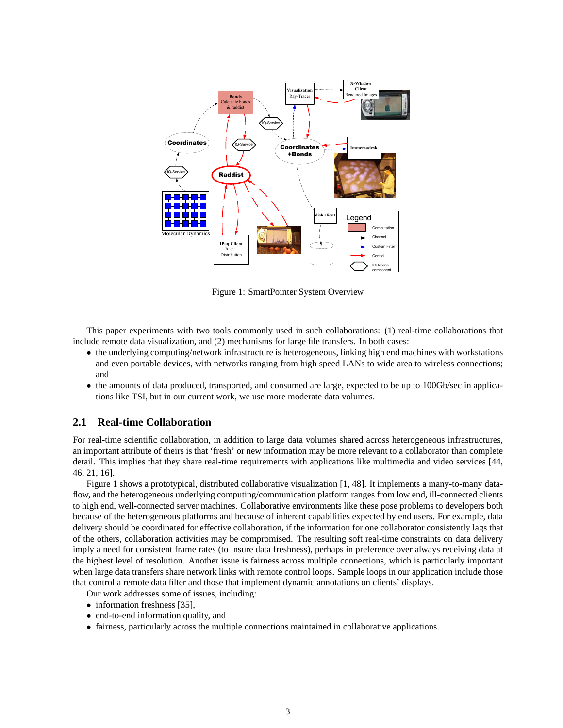

Figure 1: SmartPointer System Overview

This paper experiments with two tools commonly used in such collaborations: (1) real-time collaborations that include remote data visualization, and (2) mechanisms for large file transfers. In both cases:

- the underlying computing/network infrastructure is heterogeneous, linking high end machines with workstations and even portable devices, with networks ranging from high speed LANs to wide area to wireless connections; and
- the amounts of data produced, transported, and consumed are large, expected to be up to 100Gb/sec in applications like TSI, but in our current work, we use more moderate data volumes.

#### **2.1 Real-time Collaboration**

For real-time scientific collaboration, in addition to large data volumes shared across heterogeneous infrastructures, an important attribute of theirs is that 'fresh' or new information may be more relevant to a collaborator than complete detail. This implies that they share real-time requirements with applications like multimedia and video services [44, 46, 21, 16].

Figure 1 shows a prototypical, distributed collaborative visualization [1, 48]. It implements a many-to-many dataflow, and the heterogeneous underlying computing/communication platform ranges from low end, ill-connected clients to high end, well-connected server machines. Collaborative environments like these pose problems to developers both because of the heterogeneous platforms and because of inherent capabilities expected by end users. For example, data delivery should be coordinated for effective collaboration, if the information for one collaborator consistently lags that of the others, collaboration activities may be compromised. The resulting soft real-time constraints on data delivery imply a need for consistent frame rates (to insure data freshness), perhaps in preference over always receiving data at the highest level of resolution. Another issue is fairness across multiple connections, which is particularly important when large data transfers share network links with remote control loops. Sample loops in our application include those that control a remote data filter and those that implement dynamic annotations on clients' displays.

Our work addresses some of issues, including:

- information freshness [35],
- end-to-end information quality, and
- fairness, particularly across the multiple connections maintained in collaborative applications.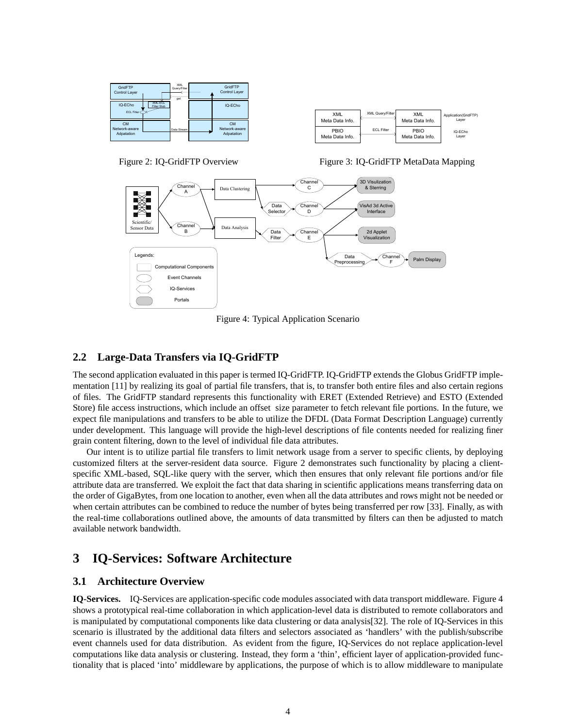| GridFTP<br>Control Layer                 | ≖                             | <b>XML</b><br>Query/Filter<br>get | GridFTP<br>Control Layer                 |
|------------------------------------------|-------------------------------|-----------------------------------|------------------------------------------|
| IQ-ECho<br>ECL Filter                    | <b>XML-ECL</b><br>Filter Stub |                                   | IQ-ECho                                  |
| <b>CM</b><br>Network-aware<br>Adpatation |                               | Data Stream                       | <b>CM</b><br>Network-aware<br>Adpatation |



Figure 2: IQ-GridFTP Overview

Figure 3: IQ-GridFTP MetaData Mapping



Figure 4: Typical Application Scenario

### **2.2 Large-Data Transfers via IQ-GridFTP**

The second application evaluated in this paper is termed IQ-GridFTP. IQ-GridFTP extends the Globus GridFTP implementation [11] by realizing its goal of partial file transfers, that is, to transfer both entire files and also certain regions of files. The GridFTP standard represents this functionality with ERET (Extended Retrieve) and ESTO (Extended Store) file access instructions, which include an offset size parameter to fetch relevant file portions. In the future, we expect file manipulations and transfers to be able to utilize the DFDL (Data Format Description Language) currently under development. This language will provide the high-level descriptions of file contents needed for realizing finer grain content filtering, down to the level of individual file data attributes.

Our intent is to utilize partial file transfers to limit network usage from a server to specific clients, by deploying customized filters at the server-resident data source. Figure 2 demonstrates such functionality by placing a clientspecific XML-based, SQL-like query with the server, which then ensures that only relevant file portions and/or file attribute data are transferred. We exploit the fact that data sharing in scientific applications means transferring data on the order of GigaBytes, from one location to another, even when all the data attributes and rows might not be needed or when certain attributes can be combined to reduce the number of bytes being transferred per row [33]. Finally, as with the real-time collaborations outlined above, the amounts of data transmitted by filters can then be adjusted to match available network bandwidth.

# **3 IQ-Services: Software Architecture**

### **3.1 Architecture Overview**

**IQ-Services.** IQ-Services are application-specific code modules associated with data transport middleware. Figure 4 shows a prototypical real-time collaboration in which application-level data is distributed to remote collaborators and is manipulated by computational components like data clustering or data analysis[32]. The role of IQ-Services in this scenario is illustrated by the additional data filters and selectors associated as 'handlers' with the publish/subscribe event channels used for data distribution. As evident from the figure, IQ-Services do not replace application-level computations like data analysis or clustering. Instead, they form a 'thin', efficient layer of application-provided functionality that is placed 'into' middleware by applications, the purpose of which is to allow middleware to manipulate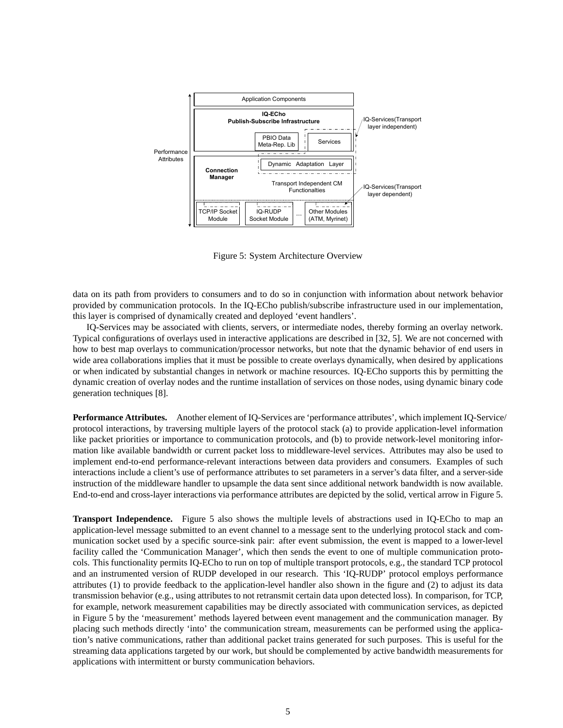

Figure 5: System Architecture Overview

data on its path from providers to consumers and to do so in conjunction with information about network behavior provided by communication protocols. In the IQ-ECho publish/subscribe infrastructure used in our implementation, this layer is comprised of dynamically created and deployed 'event handlers'.

IQ-Services may be associated with clients, servers, or intermediate nodes, thereby forming an overlay network. Typical configurations of overlays used in interactive applications are described in [32, 5]. We are not concerned with how to best map overlays to communication/processor networks, but note that the dynamic behavior of end users in wide area collaborations implies that it must be possible to create overlays dynamically, when desired by applications or when indicated by substantial changes in network or machine resources. IQ-ECho supports this by permitting the dynamic creation of overlay nodes and the runtime installation of services on those nodes, using dynamic binary code generation techniques [8].

**Performance Attributes.** Another element of IQ-Services are 'performance attributes', which implement IQ-Service/ protocol interactions, by traversing multiple layers of the protocol stack (a) to provide application-level information like packet priorities or importance to communication protocols, and (b) to provide network-level monitoring information like available bandwidth or current packet loss to middleware-level services. Attributes may also be used to implement end-to-end performance-relevant interactions between data providers and consumers. Examples of such interactions include a client's use of performance attributes to set parameters in a server's data filter, and a server-side instruction of the middleware handler to upsample the data sent since additional network bandwidth is now available. End-to-end and cross-layer interactions via performance attributes are depicted by the solid, vertical arrow in Figure 5.

**Transport Independence.** Figure 5 also shows the multiple levels of abstractions used in IQ-ECho to map an application-level message submitted to an event channel to a message sent to the underlying protocol stack and communication socket used by a specific source-sink pair: after event submission, the event is mapped to a lower-level facility called the 'Communication Manager', which then sends the event to one of multiple communication protocols. This functionality permits IQ-ECho to run on top of multiple transport protocols, e.g., the standard TCP protocol and an instrumented version of RUDP developed in our research. This 'IQ-RUDP' protocol employs performance attributes (1) to provide feedback to the application-level handler also shown in the figure and (2) to adjust its data transmission behavior (e.g., using attributes to not retransmit certain data upon detected loss). In comparison, for TCP, for example, network measurement capabilities may be directly associated with communication services, as depicted in Figure 5 by the 'measurement' methods layered between event management and the communication manager. By placing such methods directly 'into' the communication stream, measurements can be performed using the application's native communications, rather than additional packet trains generated for such purposes. This is useful for the streaming data applications targeted by our work, but should be complemented by active bandwidth measurements for applications with intermittent or bursty communication behaviors.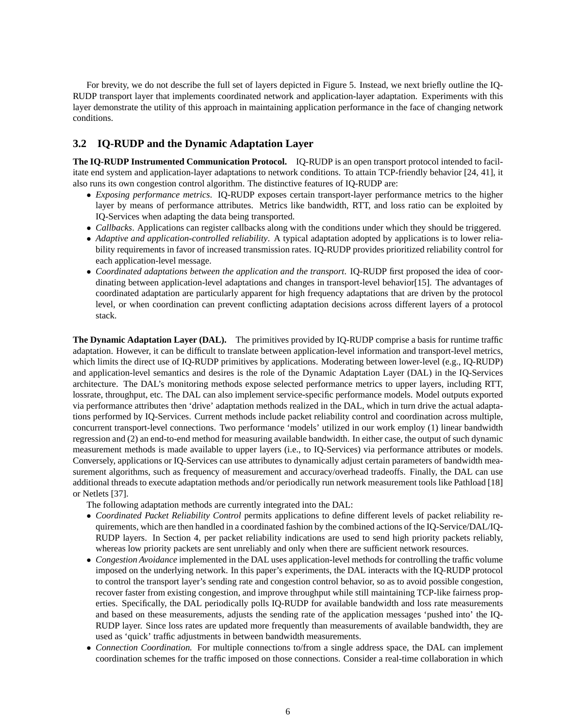For brevity, we do not describe the full set of layers depicted in Figure 5. Instead, we next briefly outline the IQ-RUDP transport layer that implements coordinated network and application-layer adaptation. Experiments with this layer demonstrate the utility of this approach in maintaining application performance in the face of changing network conditions.

### **3.2 IQ-RUDP and the Dynamic Adaptation Layer**

**The IQ-RUDP Instrumented Communication Protocol.** IQ-RUDP is an open transport protocol intended to facilitate end system and application-layer adaptations to network conditions. To attain TCP-friendly behavior [24, 41], it also runs its own congestion control algorithm. The distinctive features of IQ-RUDP are:

- *Exposing performance metrics*. IQ-RUDP exposes certain transport-layer performance metrics to the higher layer by means of performance attributes. Metrics like bandwidth, RTT, and loss ratio can be exploited by IQ-Services when adapting the data being transported.
- *Callbacks*. Applications can register callbacks along with the conditions under which they should be triggered.
- *Adaptive and application-controlled reliability*. A typical adaptation adopted by applications is to lower reliability requirements in favor of increased transmission rates. IQ-RUDP provides prioritized reliability control for each application-level message.
- *Coordinated adaptations between the application and the transport*. IQ-RUDP first proposed the idea of coordinating between application-level adaptations and changes in transport-level behavior[15]. The advantages of coordinated adaptation are particularly apparent for high frequency adaptations that are driven by the protocol level, or when coordination can prevent conflicting adaptation decisions across different layers of a protocol stack.

**The Dynamic Adaptation Layer (DAL).** The primitives provided by IQ-RUDP comprise a basis for runtime traffic adaptation. However, it can be difficult to translate between application-level information and transport-level metrics, which limits the direct use of IQ-RUDP primitives by applications. Moderating between lower-level (e.g., IQ-RUDP) and application-level semantics and desires is the role of the Dynamic Adaptation Layer (DAL) in the IQ-Services architecture. The DAL's monitoring methods expose selected performance metrics to upper layers, including RTT, lossrate, throughput, etc. The DAL can also implement service-specific performance models. Model outputs exported via performance attributes then 'drive' adaptation methods realized in the DAL, which in turn drive the actual adaptations performed by IQ-Services. Current methods include packet reliability control and coordination across multiple, concurrent transport-level connections. Two performance 'models' utilized in our work employ (1) linear bandwidth regression and (2) an end-to-end method for measuring available bandwidth. In either case, the output of such dynamic measurement methods is made available to upper layers (i.e., to IQ-Services) via performance attributes or models. Conversely, applications or IQ-Services can use attributes to dynamically adjust certain parameters of bandwidth measurement algorithms, such as frequency of measurement and accuracy/overhead tradeoffs. Finally, the DAL can use additional threads to execute adaptation methods and/or periodically run network measurement tools like Pathload [18] or Netlets [37].

The following adaptation methods are currently integrated into the DAL:

- *Coordinated Packet Reliability Control* permits applications to define different levels of packet reliability requirements, which are then handled in a coordinated fashion by the combined actions of the IQ-Service/DAL/IQ-RUDP layers. In Section 4, per packet reliability indications are used to send high priority packets reliably, whereas low priority packets are sent unreliably and only when there are sufficient network resources.
- *Congestion Avoidance* implemented in the DAL uses application-level methods for controlling the traffic volume imposed on the underlying network. In this paper's experiments, the DAL interacts with the IQ-RUDP protocol to control the transport layer's sending rate and congestion control behavior, so as to avoid possible congestion, recover faster from existing congestion, and improve throughput while still maintaining TCP-like fairness properties. Specifically, the DAL periodically polls IQ-RUDP for available bandwidth and loss rate measurements and based on these measurements, adjusts the sending rate of the application messages 'pushed into' the IQ-RUDP layer. Since loss rates are updated more frequently than measurements of available bandwidth, they are used as 'quick' traffic adjustments in between bandwidth measurements.
- *Connection Coordination.* For multiple connections to/from a single address space, the DAL can implement coordination schemes for the traffic imposed on those connections. Consider a real-time collaboration in which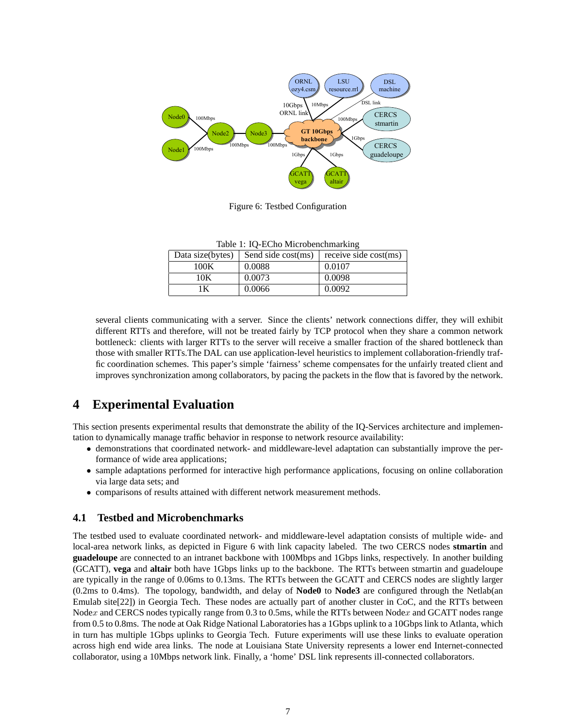

Figure 6: Testbed Configuration

Table 1: IQ-ECho Microbenchmarking

| Data size(bytes) | Send side cost(ms) | receive side cost(ms) |
|------------------|--------------------|-----------------------|
| 100K             | 0.0088             | 0.0107                |
| 10K              | 0.0073             | 0.0098                |
| K                | 0.0066             | 0.0092                |

several clients communicating with a server. Since the clients' network connections differ, they will exhibit different RTTs and therefore, will not be treated fairly by TCP protocol when they share a common network bottleneck: clients with larger RTTs to the server will receive a smaller fraction of the shared bottleneck than those with smaller RTTs.The DAL can use application-level heuristics to implement collaboration-friendly traffic coordination schemes. This paper's simple 'fairness' scheme compensates for the unfairly treated client and improves synchronization among collaborators, by pacing the packets in the flow that is favored by the network.

# **4 Experimental Evaluation**

This section presents experimental results that demonstrate the ability of the IQ-Services architecture and implementation to dynamically manage traffic behavior in response to network resource availability:

- demonstrations that coordinated network- and middleware-level adaptation can substantially improve the performance of wide area applications;
- sample adaptations performed for interactive high performance applications, focusing on online collaboration via large data sets; and
- comparisons of results attained with different network measurement methods.

### **4.1 Testbed and Microbenchmarks**

The testbed used to evaluate coordinated network- and middleware-level adaptation consists of multiple wide- and local-area network links, as depicted in Figure 6 with link capacity labeled. The two CERCS nodes **stmartin** and **guadeloupe** are connected to an intranet backbone with 100Mbps and 1Gbps links, respectively. In another building (GCATT), **vega** and **altair** both have 1Gbps links up to the backbone. The RTTs between stmartin and guadeloupe are typically in the range of 0.06ms to 0.13ms. The RTTs between the GCATT and CERCS nodes are slightly larger (0.2ms to 0.4ms). The topology, bandwidth, and delay of **Node0** to **Node3** are configured through the Netlab(an Emulab site[22]) in Georgia Tech. These nodes are actually part of another cluster in CoC, and the RTTs between Nodex and CERCS nodes typically range from 0.3 to 0.5ms, while the RTTs between Nodex and GCATT nodes range from 0.5 to 0.8ms. The node at Oak Ridge National Laboratories has a 1Gbps uplink to a 10Gbps link to Atlanta, which in turn has multiple 1Gbps uplinks to Georgia Tech. Future experiments will use these links to evaluate operation across high end wide area links. The node at Louisiana State University represents a lower end Internet-connected collaborator, using a 10Mbps network link. Finally, a 'home' DSL link represents ill-connected collaborators.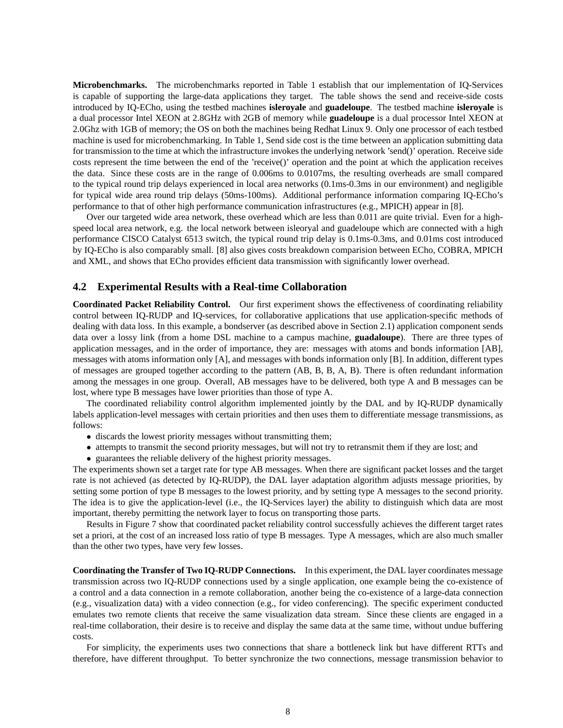**Microbenchmarks.** The microbenchmarks reported in Table 1 establish that our implementation of IQ-Services is capable of supporting the large-data applications they target. The table shows the send and receive-side costs introduced by IQ-ECho, using the testbed machines **isleroyale** and **guadeloupe**. The testbed machine **isleroyale** is a dual processor Intel XEON at 2.8GHz with 2GB of memory while **guadeloupe** is a dual processor Intel XEON at 2.0Ghz with 1GB of memory; the OS on both the machines being Redhat Linux 9. Only one processor of each testbed machine is used for microbenchmarking. In Table 1, Send side cost is the time between an application submitting data for transmission to the time at which the infrastructure invokes the underlying network 'send()' operation. Receive side costs represent the time between the end of the 'receive()' operation and the point at which the application receives the data. Since these costs are in the range of 0.006ms to 0.0107ms, the resulting overheads are small compared to the typical round trip delays experienced in local area networks (0.1ms-0.3ms in our environment) and negligible for typical wide area round trip delays (50ms-100ms). Additional performance information comparing IQ-ECho's performance to that of other high performance communication infrastructures (e.g., MPICH) appear in [8].

Over our targeted wide area network, these overhead which are less than 0.011 are quite trivial. Even for a highspeed local area network, e.g. the local network between isleoryal and guadeloupe which are connected with a high performance CISCO Catalyst 6513 switch, the typical round trip delay is 0.1ms-0.3ms, and 0.01ms cost introduced by IQ-ECho is also comparably small. [8] also gives costs breakdown comparision between ECho, COBRA, MPICH and XML, and shows that ECho provides efficient data transmission with significantly lower overhead.

#### **4.2 Experimental Results with a Real-time Collaboration**

**Coordinated Packet Reliability Control.** Our first experiment shows the effectiveness of coordinating reliability control between IQ-RUDP and IQ-services, for collaborative applications that use application-specific methods of dealing with data loss. In this example, a bondserver (as described above in Section 2.1) application component sends data over a lossy link (from a home DSL machine to a campus machine, **guadaloupe**). There are three types of application messages, and in the order of importance, they are: messages with atoms and bonds information [AB], messages with atoms information only [A], and messages with bonds information only [B]. In addition, different types of messages are grouped together according to the pattern (AB, B, B, A, B). There is often redundant information among the messages in one group. Overall, AB messages have to be delivered, both type A and B messages can be lost, where type B messages have lower priorities than those of type A.

The coordinated reliability control algorithm implemented jointly by the DAL and by IQ-RUDP dynamically labels application-level messages with certain priorities and then uses them to differentiate message transmissions, as follows:

- discards the lowest priority messages without transmitting them;
- attempts to transmit the second priority messages, but will not try to retransmit them if they are lost; and
- guarantees the reliable delivery of the highest priority messages.

The experiments shown set a target rate for type AB messages. When there are significant packet losses and the target rate is not achieved (as detected by IQ-RUDP), the DAL layer adaptation algorithm adjusts message priorities, by setting some portion of type B messages to the lowest priority, and by setting type A messages to the second priority. The idea is to give the application-level (i.e., the IQ-Services layer) the ability to distinguish which data are most important, thereby permitting the network layer to focus on transporting those parts.

Results in Figure 7 show that coordinated packet reliability control successfully achieves the different target rates set a priori, at the cost of an increased loss ratio of type B messages. Type A messages, which are also much smaller than the other two types, have very few losses.

**Coordinating the Transfer of Two IQ-RUDP Connections.** In this experiment, the DAL layer coordinates message transmission across two IQ-RUDP connections used by a single application, one example being the co-existence of a control and a data connection in a remote collaboration, another being the co-existence of a large-data connection (e.g., visualization data) with a video connection (e.g., for video conferencing). The specific experiment conducted emulates two remote clients that receive the same visualization data stream. Since these clients are engaged in a real-time collaboration, their desire is to receive and display the same data at the same time, without undue buffering costs.

For simplicity, the experiments uses two connections that share a bottleneck link but have different RTTs and therefore, have different throughput. To better synchronize the two connections, message transmission behavior to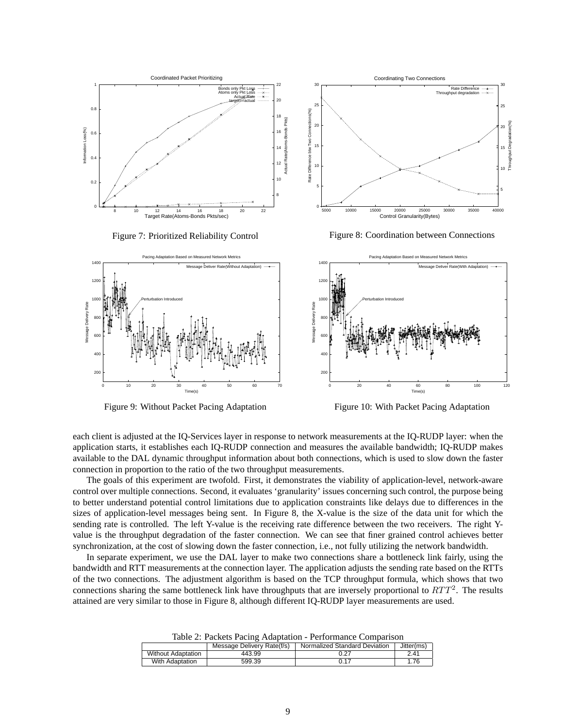

Coordinating Two Connections 30 30 Rate Difference Throughput degradation 25 25 Difference btw Two Connections(%) Rate Difference btw Two Connections(%) Throughput Degradation(%)  $\overline{2}$ 20 Throughput Degradation 15 15 10 10 Rate 5 5 0 5000 10000 15000 20000 25000 30000 35000 40000 Control Granularity(Bytes)

Figure 7: Prioritized Reliability Control

Figure 8: Coordination between Connections



Figure 9: Without Packet Pacing Adaptation

Figure 10: With Packet Pacing Adaptation

each client is adjusted at the IQ-Services layer in response to network measurements at the IQ-RUDP layer: when the application starts, it establishes each IQ-RUDP connection and measures the available bandwidth; IQ-RUDP makes available to the DAL dynamic throughput information about both connections, which is used to slow down the faster connection in proportion to the ratio of the two throughput measurements.

The goals of this experiment are twofold. First, it demonstrates the viability of application-level, network-aware control over multiple connections. Second, it evaluates 'granularity' issues concerning such control, the purpose being to better understand potential control limitations due to application constraints like delays due to differences in the sizes of application-level messages being sent. In Figure 8, the X-value is the size of the data unit for which the sending rate is controlled. The left Y-value is the receiving rate difference between the two receivers. The right Yvalue is the throughput degradation of the faster connection. We can see that finer grained control achieves better synchronization, at the cost of slowing down the faster connection, i.e., not fully utilizing the network bandwidth.

In separate experiment, we use the DAL layer to make two connections share a bottleneck link fairly, using the bandwidth and RTT measurements at the connection layer. The application adjusts the sending rate based on the RTTs of the two connections. The adjustment algorithm is based on the TCP throughput formula, which shows that two connections sharing the same bottleneck link have throughputs that are inversely proportional to  $RTT^2$ . The results attained are very similar to those in Figure 8, although different IQ-RUDP layer measurements are used.

Table 2: Packets Pacing Adaptation - Performance Comparison

|                           | Message Delivery Rate(f/s) | Normalized Standard Deviation | Jitter(ms) |
|---------------------------|----------------------------|-------------------------------|------------|
| <b>Without Adaptation</b> | 443.99                     |                               |            |
| With Adaptation           | 599.39                     |                               | .76        |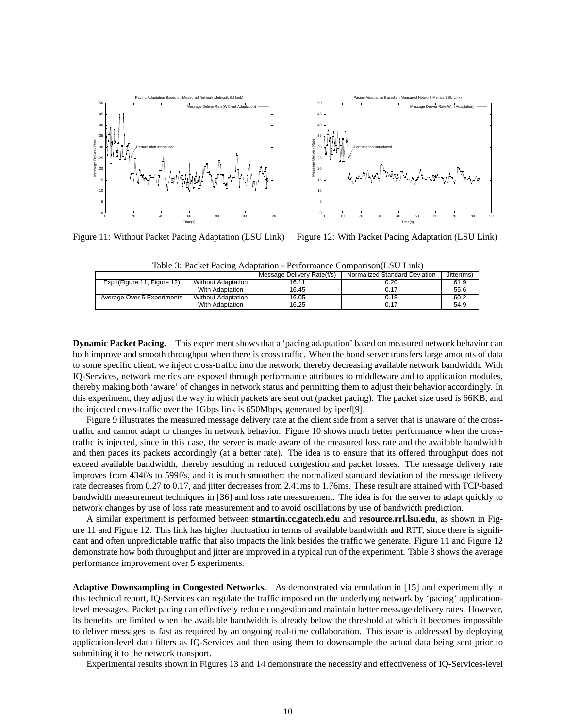

Figure 11: Without Packet Pacing Adaptation (LSU Link)

Figure 12: With Packet Pacing Adaptation (LSU Link)

Table 3: Packet Pacing Adaptation - Performance Comparison(LSU Link)

|                            |                           | Message Delivery Rate(f/s) | Normalized Standard Deviation | Jitter(ms) |
|----------------------------|---------------------------|----------------------------|-------------------------------|------------|
| Exp1(Figure 11, Figure 12) | <b>Without Adaptation</b> | 16.11                      | 0.20                          | 61.9       |
|                            | With Adaptation           | 16.45                      | 0.17                          | 55.6       |
| Average Over 5 Experiments | <b>Without Adaptation</b> | 16.05                      | 0.18                          | 60.2       |
|                            | With Adaptation           | 16.25                      | ี่ 0.17                       | 54.9       |

**Dynamic Packet Pacing.** This experiment shows that a 'pacing adaptation' based on measured network behavior can both improve and smooth throughput when there is cross traffic. When the bond server transfers large amounts of data to some specific client, we inject cross-traffic into the network, thereby decreasing available network bandwidth. With IQ-Services, network metrics are exposed through performance attributes to middleware and to application modules, thereby making both 'aware' of changes in network status and permitting them to adjust their behavior accordingly. In this experiment, they adjust the way in which packets are sent out (packet pacing). The packet size used is 66KB, and the injected cross-traffic over the 1Gbps link is 650Mbps, generated by iperf[9].

Figure 9 illustrates the measured message delivery rate at the client side from a server that is unaware of the crosstraffic and cannot adapt to changes in network behavior. Figure 10 shows much better performance when the crosstraffic is injected, since in this case, the server is made aware of the measured loss rate and the available bandwidth and then paces its packets accordingly (at a better rate). The idea is to ensure that its offered throughput does not exceed available bandwidth, thereby resulting in reduced congestion and packet losses. The message delivery rate improves from 434f/s to 599f/s, and it is much smoother: the normalized standard deviation of the message delivery rate decreases from 0.27 to 0.17, and jitter decreases from 2.41ms to 1.76ms. These result are attained with TCP-based bandwidth measurement techniques in [36] and loss rate measurement. The idea is for the server to adapt quickly to network changes by use of loss rate measurement and to avoid oscillations by use of bandwidth prediction.

A similar experiment is performed between **stmartin.cc.gatech.edu** and **resource.rrl.lsu.edu**, as shown in Figure 11 and Figure 12. This link has higher fluctuation in terms of available bandwidth and RTT, since there is significant and often unpredictable traffic that also impacts the link besides the traffic we generate. Figure 11 and Figure 12 demonstrate how both throughput and jitter are improved in a typical run of the experiment. Table 3 shows the average performance improvement over 5 experiments.

**Adaptive Downsampling in Congested Networks.** As demonstrated via emulation in [15] and experimentally in this technical report, IQ-Services can regulate the traffic imposed on the underlying network by 'pacing' applicationlevel messages. Packet pacing can effectively reduce congestion and maintain better message delivery rates. However, its benefits are limited when the available bandwidth is already below the threshold at which it becomes impossible to deliver messages as fast as required by an ongoing real-time collaboration. This issue is addressed by deploying application-level data filters as IQ-Services and then using them to downsample the actual data being sent prior to submitting it to the network transport.

Experimental results shown in Figures 13 and 14 demonstrate the necessity and effectiveness of IQ-Services-level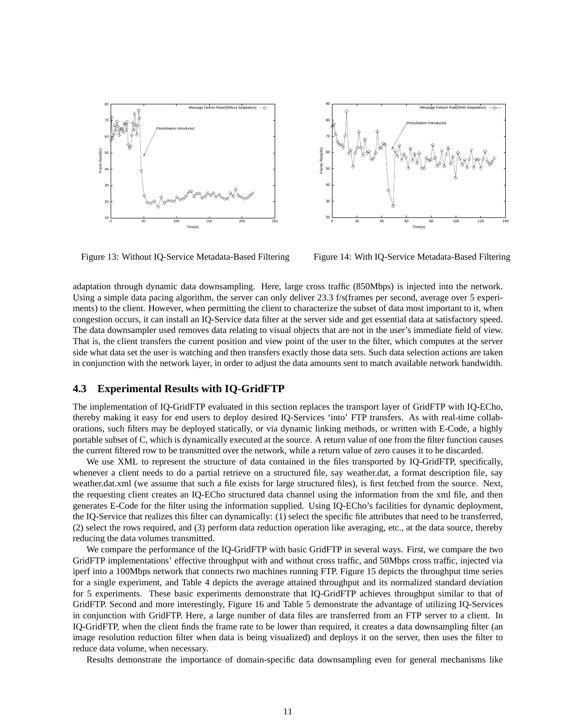



Figure 13: Without IQ-Service Metadata-Based Filtering

Figure 14: With IQ-Service Metadata-Based Filtering

adaptation through dynamic data downsampling. Here, large cross traffic (850Mbps) is injected into the network. Using a simple data pacing algorithm, the server can only deliver 23.3 f/s(frames per second, average over 5 experiments) to the client. However, when permitting the client to characterize the subset of data most important to it, when congestion occurs, it can install an IQ-Service data filter at the server side and get essential data at satisfactory speed. The data downsampler used removes data relating to visual objects that are not in the user's immediate field of view. That is, the client transfers the current position and view point of the user to the filter, which computes at the server side what data set the user is watching and then transfers exactly those data sets. Such data selection actions are taken in conjunction with the network layer, in order to adjust the data amounts sent to match available network bandwidth.

#### **4.3 Experimental Results with IQ-GridFTP**

The implementation of IQ-GridFTP evaluated in this section replaces the transport layer of GridFTP with IQ-ECho, thereby making it easy for end users to deploy desired IQ-Services 'into' FTP transfers. As with real-time collaborations, such filters may be deployed statically, or via dynamic linking methods, or written with E-Code, a highly portable subset of C, which is dynamically executed at the source. A return value of one from the filter function causes the current filtered row to be transmitted over the network, while a return value of zero causes it to be discarded.

We use XML to represent the structure of data contained in the files transported by IQ-GridFTP, specifically, whenever a client needs to do a partial retrieve on a structured file, say weather.dat, a format description file, say weather.dat.xml (we assume that such a file exists for large structured files), is first fetched from the source. Next, the requesting client creates an IQ-ECho structured data channel using the information from the xml file, and then generates E-Code for the filter using the information supplied. Using IQ-ECho's facilities for dynamic deployment, the IQ-Service that realizes this filter can dynamically: (1) select the specific file attributes that need to be transferred, (2) select the rows required, and (3) perform data reduction operation like averaging, etc., at the data source, thereby reducing the data volumes transmitted.

We compare the performance of the IQ-GridFTP with basic GridFTP in several ways. First, we compare the two GridFTP implementations' effective throughput with and without cross traffic, and 50Mbps cross traffic, injected via iperf into a 100Mbps network that connects two machines running FTP. Figure 15 depicts the throughput time series for a single experiment, and Table 4 depicts the average attained throughput and its normalized standard deviation for 5 experiments. These basic experiments demonstrate that IQ-GridFTP achieves throughput similar to that of GridFTP. Second and more interestingly, Figure 16 and Table 5 demonstrate the advantage of utilizing IQ-Services in conjunction with GridFTP. Here, a large number of data files are transferred from an FTP server to a client. In IQ-GridFTP, when the client finds the frame rate to be lower than required, it creates a data downsampling filter (an image resolution reduction filter when data is being visualized) and deploys it on the server, then uses the filter to reduce data volume, when necessary.

Results demonstrate the importance of domain-specific data downsampling even for general mechanisms like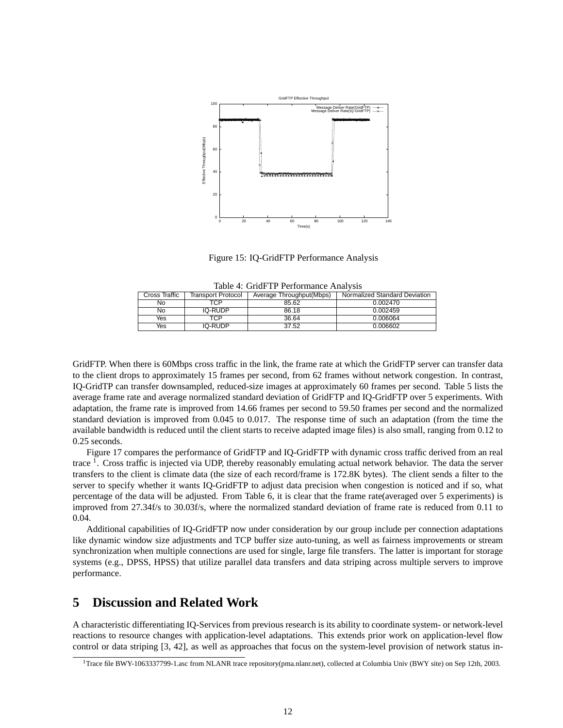

Figure 15: IQ-GridFTP Performance Analysis

|                                     | racio il critti il reflettimatte rittari dio |         |                          |                               |  |  |
|-------------------------------------|----------------------------------------------|---------|--------------------------|-------------------------------|--|--|
| Cross Traffic<br>Transport Protocol |                                              |         | Average Throughput(Mbps) | Normalized Standard Deviation |  |  |
|                                     | No.                                          | TCP     | 85.62                    | 0.002470                      |  |  |
|                                     | No                                           | IQ-RUDP | 86.18                    | 0.002459                      |  |  |
|                                     | Yes                                          | TCP     | 36.64                    | 0.006064                      |  |  |
|                                     | Yes                                          | IQ-RUDP | 37.52                    | 0.006602                      |  |  |

Table 4: GridFTP Performance Analysis

GridFTP. When there is 60Mbps cross traffic in the link, the frame rate at which the GridFTP server can transfer data to the client drops to approximately 15 frames per second, from 62 frames without network congestion. In contrast, IQ-GridTP can transfer downsampled, reduced-size images at approximately 60 frames per second. Table 5 lists the average frame rate and average normalized standard deviation of GridFTP and IQ-GridFTP over 5 experiments. With adaptation, the frame rate is improved from 14.66 frames per second to 59.50 frames per second and the normalized standard deviation is improved from 0.045 to 0.017. The response time of such an adaptation (from the time the available bandwidth is reduced until the client starts to receive adapted image files) is also small, ranging from 0.12 to 0.25 seconds.

Figure 17 compares the performance of GridFTP and IQ-GridFTP with dynamic cross traffic derived from an real trace <sup>1</sup>. Cross traffic is injected via UDP, thereby reasonably emulating actual network behavior. The data the server transfers to the client is climate data (the size of each record/frame is 172.8K bytes). The client sends a filter to the server to specify whether it wants IQ-GridFTP to adjust data precision when congestion is noticed and if so, what percentage of the data will be adjusted. From Table 6, it is clear that the frame rate(averaged over 5 experiments) is improved from 27.34f/s to 30.03f/s, where the normalized standard deviation of frame rate is reduced from 0.11 to 0.04.

Additional capabilities of IQ-GridFTP now under consideration by our group include per connection adaptations like dynamic window size adjustments and TCP buffer size auto-tuning, as well as fairness improvements or stream synchronization when multiple connections are used for single, large file transfers. The latter is important for storage systems (e.g., DPSS, HPSS) that utilize parallel data transfers and data striping across multiple servers to improve performance.

# **5 Discussion and Related Work**

A characteristic differentiating IQ-Services from previous research is its ability to coordinate system- or network-level reactions to resource changes with application-level adaptations. This extends prior work on application-level flow control or data striping [3, 42], as well as approaches that focus on the system-level provision of network status in-

<sup>1</sup>Trace file BWY-1063337799-1.asc from NLANR trace repository(pma.nlanr.net), collected at Columbia Univ (BWY site) on Sep 12th, 2003.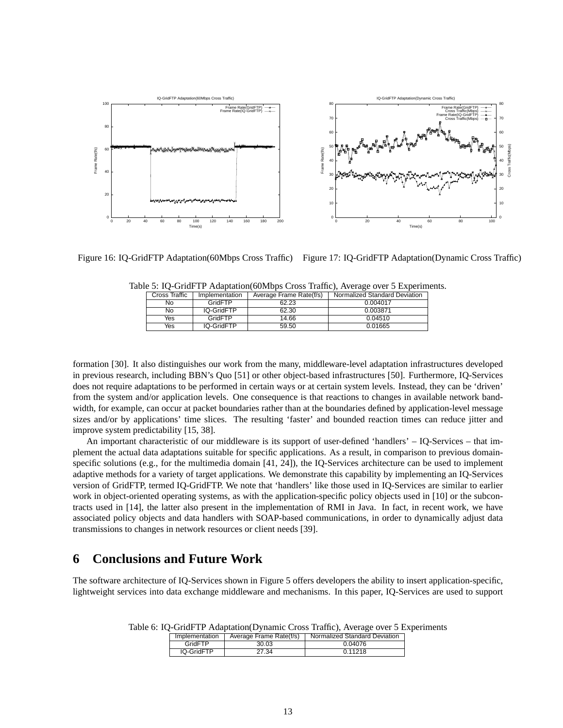

Figure 16: IQ-GridFTP Adaptation(60Mbps Cross Traffic) Figure 17: IQ-GridFTP Adaptation(Dynamic Cross Traffic)

| Cross Traffic | Implementation | Average Frame Rate(f/s) | Normalized Standard Deviation |
|---------------|----------------|-------------------------|-------------------------------|
| No            | GridFTP        | 62.23                   | 0.004017                      |
| No.           | IQ-GridFTP     | 62.30                   | 0.003871                      |
| Yes           | GridFTP        | 14.66                   | 0.04510                       |
| Yes           | IQ-GridFTP     | 59.50                   | 0.01665                       |

Table 5: IQ-GridFTP Adaptation(60Mbps Cross Traffic), Average over 5 Experiments.

formation [30]. It also distinguishes our work from the many, middleware-level adaptation infrastructures developed in previous research, including BBN's Quo [51] or other object-based infrastructures [50]. Furthermore, IQ-Services does not require adaptations to be performed in certain ways or at certain system levels. Instead, they can be 'driven' from the system and/or application levels. One consequence is that reactions to changes in available network bandwidth, for example, can occur at packet boundaries rather than at the boundaries defined by application-level message sizes and/or by applications' time slices. The resulting 'faster' and bounded reaction times can reduce jitter and improve system predictability [15, 38].

An important characteristic of our middleware is its support of user-defined 'handlers' – IQ-Services – that implement the actual data adaptations suitable for specific applications. As a result, in comparison to previous domainspecific solutions (e.g., for the multimedia domain [41, 24]), the IQ-Services architecture can be used to implement adaptive methods for a variety of target applications. We demonstrate this capability by implementing an IQ-Services version of GridFTP, termed IQ-GridFTP. We note that 'handlers' like those used in IQ-Services are similar to earlier work in object-oriented operating systems, as with the application-specific policy objects used in [10] or the subcontracts used in [14], the latter also present in the implementation of RMI in Java. In fact, in recent work, we have associated policy objects and data handlers with SOAP-based communications, in order to dynamically adjust data transmissions to changes in network resources or client needs [39].

# **6 Conclusions and Future Work**

The software architecture of IQ-Services shown in Figure 5 offers developers the ability to insert application-specific, lightweight services into data exchange middleware and mechanisms. In this paper, IQ-Services are used to support

Table 6: IQ-GridFTP Adaptation(Dynamic Cross Traffic), Average over 5 Experiments

| Implementation |            | Average Frame Rate(f/s) | Normalized Standard Deviation |  |  |
|----------------|------------|-------------------------|-------------------------------|--|--|
|                | GridFTP    | 30.03                   | 0.04076                       |  |  |
|                | IQ-GridFTP | 27.34                   | 0.11218                       |  |  |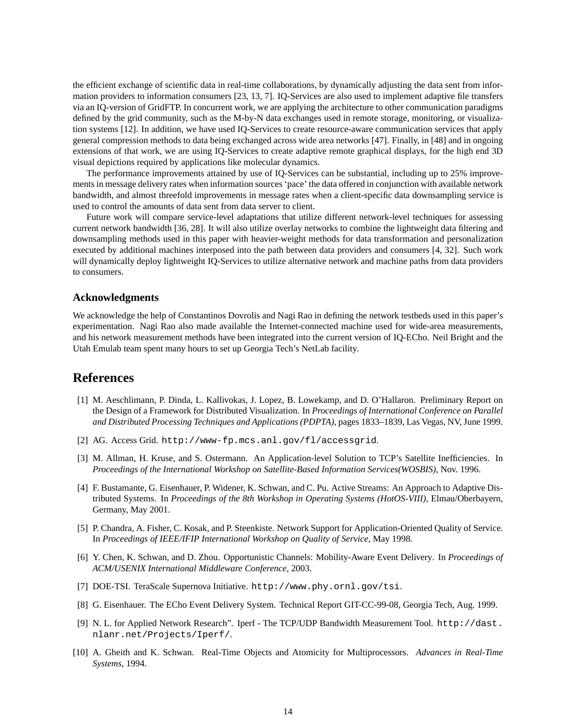the efficient exchange of scientific data in real-time collaborations, by dynamically adjusting the data sent from information providers to information consumers [23, 13, 7]. IQ-Services are also used to implement adaptive file transfers via an IQ-version of GridFTP. In concurrent work, we are applying the architecture to other communication paradigms defined by the grid community, such as the M-by-N data exchanges used in remote storage, monitoring, or visualization systems [12]. In addition, we have used IQ-Services to create resource-aware communication services that apply general compression methods to data being exchanged across wide area networks [47]. Finally, in [48] and in ongoing extensions of that work, we are using IQ-Services to create adaptive remote graphical displays, for the high end 3D visual depictions required by applications like molecular dynamics.

The performance improvements attained by use of IQ-Services can be substantial, including up to 25% improvements in message delivery rates when information sources 'pace' the data offered in conjunction with available network bandwidth, and almost threefold improvements in message rates when a client-specific data downsampling service is used to control the amounts of data sent from data server to client.

Future work will compare service-level adaptations that utilize different network-level techniques for assessing current network bandwidth [36, 28]. It will also utilize overlay networks to combine the lightweight data filtering and downsampling methods used in this paper with heavier-weight methods for data transformation and personalization executed by additional machines interposed into the path between data providers and consumers [4, 32]. Such work will dynamically deploy lightweight IQ-Services to utilize alternative network and machine paths from data providers to consumers.

#### **Acknowledgments**

We acknowledge the help of Constantinos Dovrolis and Nagi Rao in defining the network testbeds used in this paper's experimentation. Nagi Rao also made available the Internet-connected machine used for wide-area measurements, and his network measurement methods have been integrated into the current version of IQ-ECho. Neil Bright and the Utah Emulab team spent many hours to set up Georgia Tech's NetLab facility.

### **References**

- [1] M. Aeschlimann, P. Dinda, L. Kallivokas, J. Lopez, B. Lowekamp, and D. O'Hallaron. Preliminary Report on the Design of a Framework for Distributed Visualization. In *Proceedings of International Conference on Parallel and Distributed Processing Techniques and Applications (PDPTA)*, pages 1833–1839, Las Vegas, NV, June 1999.
- [2] AG. Access Grid. http://www-fp.mcs.anl.gov/fl/accessgrid.
- [3] M. Allman, H. Kruse, and S. Ostermann. An Application-level Solution to TCP's Satellite Inefficiencies. In *Proceedings of the International Workshop on Satellite-Based Information Services(WOSBIS)*, Nov. 1996.
- [4] F. Bustamante, G. Eisenhauer, P. Widener, K. Schwan, and C. Pu. Active Streams: An Approach to Adaptive Distributed Systems. In *Proceedings of the 8th Workshop in Operating Systems (HotOS-VIII)*, Elmau/Oberbayern, Germany, May 2001.
- [5] P. Chandra, A. Fisher, C. Kosak, and P. Steenkiste. Network Support for Application-Oriented Quality of Service. In *Proceedings of IEEE/IFIP International Workshop on Quality of Service*, May 1998.
- [6] Y. Chen, K. Schwan, and D. Zhou. Opportunistic Channels: Mobility-Aware Event Delivery. In *Proceedings of ACM/USENIX International Middleware Conference*, 2003.
- [7] DOE-TSI. TeraScale Supernova Initiative. http://www.phy.ornl.gov/tsi.
- [8] G. Eisenhauer. The ECho Event Delivery System. Technical Report GIT-CC-99-08, Georgia Tech, Aug. 1999.
- [9] N. L. for Applied Network Research". Iperf The TCP/UDP Bandwidth Measurement Tool. http://dast. nlanr.net/Projects/Iperf/.
- [10] A. Gheith and K. Schwan. Real-Time Objects and Atomicity for Multiprocessors. *Advances in Real-Time Systems*, 1994.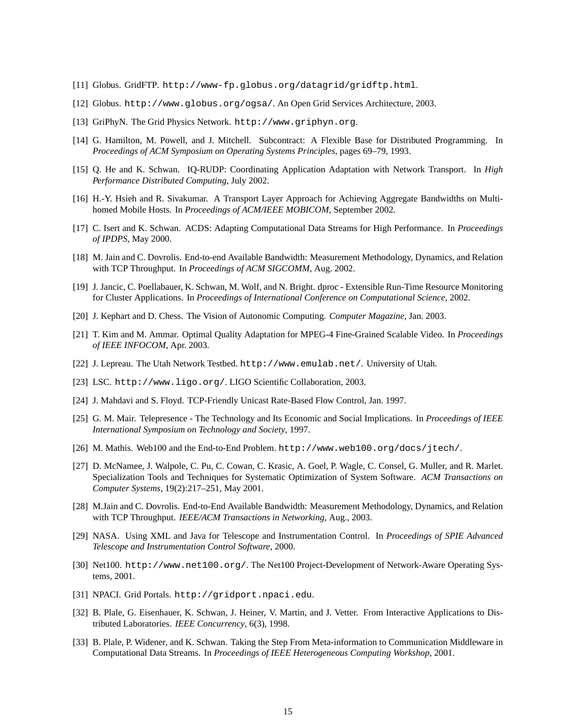- [11] Globus. GridFTP. http://www-fp.globus.org/datagrid/gridftp.html.
- [12] Globus. http://www.globus.org/ogsa/. An Open Grid Services Architecture, 2003.
- [13] GriPhyN. The Grid Physics Network. http://www.griphyn.org.
- [14] G. Hamilton, M. Powell, and J. Mitchell. Subcontract: A Flexible Base for Distributed Programming. In *Proceedings of ACM Symposium on Operating Systems Principles*, pages 69–79, 1993.
- [15] Q. He and K. Schwan. IQ-RUDP: Coordinating Application Adaptation with Network Transport. In *High Performance Distributed Computing*, July 2002.
- [16] H.-Y. Hsieh and R. Sivakumar. A Transport Layer Approach for Achieving Aggregate Bandwidths on Multihomed Mobile Hosts. In *Proceedings of ACM/IEEE MOBICOM*, September 2002.
- [17] C. Isert and K. Schwan. ACDS: Adapting Computational Data Streams for High Performance. In *Proceedings of IPDPS*, May 2000.
- [18] M. Jain and C. Dovrolis. End-to-end Available Bandwidth: Measurement Methodology, Dynamics, and Relation with TCP Throughput. In *Proceedings of ACM SIGCOMM*, Aug. 2002.
- [19] J. Jancic, C. Poellabauer, K. Schwan, M. Wolf, and N. Bright. dproc Extensible Run-Time Resource Monitoring for Cluster Applications. In *Proceedings of International Conference on Computational Science*, 2002.
- [20] J. Kephart and D. Chess. The Vision of Autonomic Computing. *Computer Magazine*, Jan. 2003.
- [21] T. Kim and M. Ammar. Optimal Quality Adaptation for MPEG-4 Fine-Grained Scalable Video. In *Proceedings of IEEE INFOCOM*, Apr. 2003.
- [22] J. Lepreau. The Utah Network Testbed. http://www.emulab.net/. University of Utah.
- [23] LSC. http://www.ligo.org/. LIGO Scientific Collaboration, 2003.
- [24] J. Mahdavi and S. Floyd. TCP-Friendly Unicast Rate-Based Flow Control, Jan. 1997.
- [25] G. M. Mair. Telepresence The Technology and Its Economic and Social Implications. In *Proceedings of IEEE International Symposium on Technology and Society*, 1997.
- [26] M. Mathis. Web100 and the End-to-End Problem. http://www.web100.org/docs/jtech/.
- [27] D. McNamee, J. Walpole, C. Pu, C. Cowan, C. Krasic, A. Goel, P. Wagle, C. Consel, G. Muller, and R. Marlet. Specialization Tools and Techniques for Systematic Optimization of System Software. *ACM Transactions on Computer Systems*, 19(2):217–251, May 2001.
- [28] M.Jain and C. Dovrolis. End-to-End Available Bandwidth: Measurement Methodology, Dynamics, and Relation with TCP Throughput. *IEEE/ACM Transactions in Networking*, Aug., 2003.
- [29] NASA. Using XML and Java for Telescope and Instrumentation Control. In *Proceedings of SPIE Advanced Telescope and Instrumentation Control Software*, 2000.
- [30] Net100. http://www.net100.org/. The Net100 Project-Development of Network-Aware Operating Systems, 2001.
- [31] NPACI. Grid Portals. http://gridport.npaci.edu.
- [32] B. Plale, G. Eisenhauer, K. Schwan, J. Heiner, V. Martin, and J. Vetter. From Interactive Applications to Distributed Laboratories. *IEEE Concurrency*, 6(3), 1998.
- [33] B. Plale, P. Widener, and K. Schwan. Taking the Step From Meta-information to Communication Middleware in Computational Data Streams. In *Proceedings of IEEE Heterogeneous Computing Workshop*, 2001.